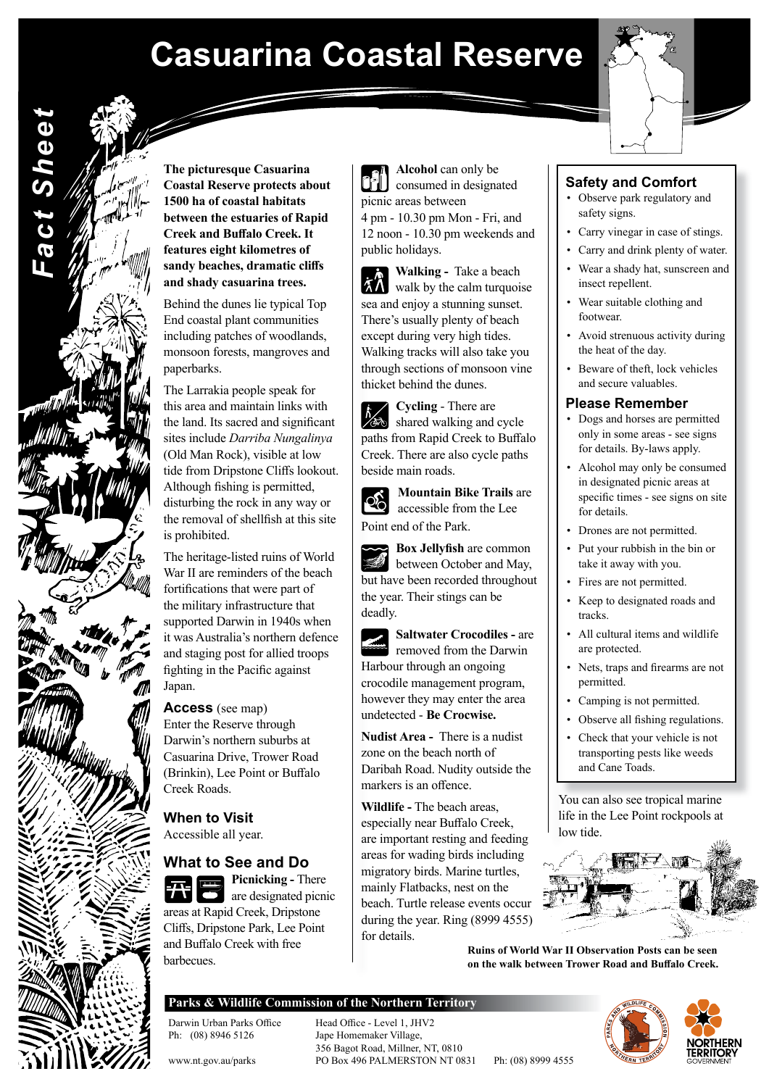# **Casuarina Coastal Reserve**



#### **The picturesque Casuarina Coastal Reserve protects about 1500 ha of coastal habitats between the estuaries of Rapid Creek and Buffalo Creek. It features eight kilometres of sandy beaches, dramatic cliffs and shady casuarina trees.**

*Fact Sheet*

Fact Sheet

Behind the dunes lie typical Top End coastal plant communities including patches of woodlands, monsoon forests, mangroves and paperbarks.

The Larrakia people speak for this area and maintain links with the land. Its sacred and significant sites include *Darriba Nungalinya* (Old Man Rock), visible at low tide from Dripstone Cliffs lookout. Although fishing is permitted, disturbing the rock in any way or the removal of shellfish at this site is prohibited.

The heritage-listed ruins of World War II are reminders of the beach fortifications that were part of the military infrastructure that supported Darwin in 1940s when it was Australia's northern defence and staging post for allied troops fighting in the Pacific against Japan.

### **Access** (see map)

Enter the Reserve through Darwin's northern suburbs at Casuarina Drive, Trower Road (Brinkin), Lee Point or Buffalo Creek Roads.

**When to Visit** Accessible all year.

## **What to See and Do**

**Picnicking - There** are designated picnic areas at Rapid Creek, Dripstone Cliffs, Dripstone Park, Lee Point and Buffalo Creek with free barbecues.

**Alcohol** can only be consumed in designated picnic areas between 4 pm - 10.30 pm Mon - Fri, and 12 noon - 10.30 pm weekends and public holidays.

**Walking -** Take a beach  $\begin{array}{c} \begin{array}{c} \text{w} \\ \text{walk by the calm turquoise} \end{array} \end{array}$ sea and enjoy a stunning sunset. There's usually plenty of beach except during very high tides. Walking tracks will also take you through sections of monsoon vine thicket behind the dunes.

**Cycling** - There are shared walking and cycle paths from Rapid Creek to Buffalo Creek. There are also cycle paths beside main roads.

**Mountain Bike Trails** are accessible from the Lee

Point end of the Park. **Box Jellyfish** are common

between October and May, but have been recorded throughout the year. Their stings can be deadly.

**Saltwater Crocodiles -** are removed from the Darwin Harbour through an ongoing crocodile management program, however they may enter the area undetected - **Be Crocwise.**

**Nudist Area -** There is a nudist zone on the beach north of Daribah Road. Nudity outside the markers is an offence.

**Wildlife -** The beach areas, especially near Buffalo Creek, are important resting and feeding areas for wading birds including migratory birds. Marine turtles, mainly Flatbacks, nest on the beach. Turtle release events occur during the year. Ring (8999 4555) for details.

### **Safety and Comfort**

- Observe park regulatory and safety signs.
- Carry vinegar in case of stings.
- Carry and drink plenty of water.
- Wear a shady hat, sunscreen and insect repellent.
- Wear suitable clothing and footwear.
- Avoid strenuous activity during the heat of the day.
- Beware of theft, lock vehicles and secure valuables.

### **Please Remember**

- Dogs and horses are permitted only in some areas - see signs for details. By-laws apply.
- Alcohol may only be consumed in designated picnic areas at specific times - see signs on site for details.
- Drones are not permitted.
- Put your rubbish in the bin or take it away with you.
- Fires are not permitted.
- Keep to designated roads and tracks.
- All cultural items and wildlife are protected.
- Nets, traps and firearms are not permitted.
- Camping is not permitted.
- Observe all fishing regulations.
- Check that your vehicle is not transporting pests like weeds and Cane Toads.

You can also see tropical marine life in the Lee Point rockpools at low tide.



**Ruins of World War II Observation Posts can be seen on the walk between Trower Road and Buffalo Creek.**

### **Parks & Wildlife Commission of the Northern Territory**

Darwin Urban Parks Office Head Office - Level 1, JHV2<br>Ph: (08) 8946 5126 Jape Homemaker Village,

Jape Homemaker Village, 356 Bagot Road, Millner, NT, 0810 www.nt.gov.au/parks PO Box 496 PALMERSTON NT 0831 Ph: (08) 8999 4555